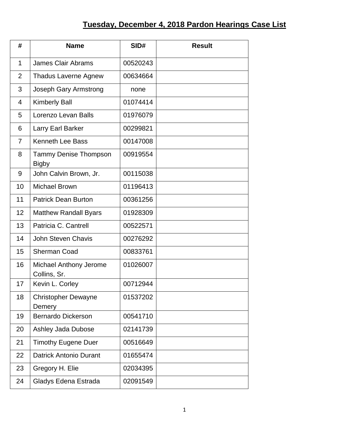## **Tuesday, December 4, 2018 Pardon Hearings Case List**

| #              | <b>Name</b>                                  | SID#     | <b>Result</b> |
|----------------|----------------------------------------------|----------|---------------|
| $\mathbf{1}$   | <b>James Clair Abrams</b>                    | 00520243 |               |
| $\overline{2}$ | <b>Thadus Laverne Agnew</b>                  | 00634664 |               |
| 3              | Joseph Gary Armstrong                        | none     |               |
| 4              | <b>Kimberly Ball</b>                         | 01074414 |               |
| 5              | Lorenzo Levan Balls                          | 01976079 |               |
| 6              | Larry Earl Barker                            | 00299821 |               |
| $\overline{7}$ | <b>Kenneth Lee Bass</b>                      | 00147008 |               |
| 8              | <b>Tammy Denise Thompson</b><br><b>Bigby</b> | 00919554 |               |
| 9              | John Calvin Brown, Jr.                       | 00115038 |               |
| 10             | <b>Michael Brown</b>                         | 01196413 |               |
| 11             | <b>Patrick Dean Burton</b>                   | 00361256 |               |
| 12             | <b>Matthew Randall Byars</b>                 | 01928309 |               |
| 13             | Patricia C. Cantrell                         | 00522571 |               |
| 14             | <b>John Steven Chavis</b>                    | 00276292 |               |
| 15             | <b>Sherman Coad</b>                          | 00833761 |               |
| 16             | Michael Anthony Jerome<br>Collins, Sr.       | 01026007 |               |
| 17             | Kevin L. Corley                              | 00712944 |               |
| 18             | Christopher Dewayne<br>Demery                | 01537202 |               |
| 19             | <b>Bernardo Dickerson</b>                    | 00541710 |               |
| 20             | Ashley Jada Dubose                           | 02141739 |               |
| 21             | <b>Timothy Eugene Duer</b>                   | 00516649 |               |
| 22             | <b>Datrick Antonio Durant</b>                | 01655474 |               |
| 23             | Gregory H. Elie                              | 02034395 |               |
| 24             | Gladys Edena Estrada                         | 02091549 |               |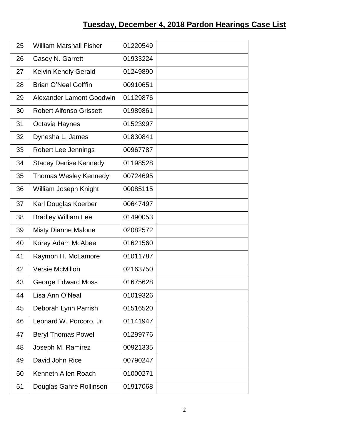| 25 | <b>William Marshall Fisher</b>  | 01220549 |  |
|----|---------------------------------|----------|--|
| 26 | Casey N. Garrett                | 01933224 |  |
| 27 | <b>Kelvin Kendly Gerald</b>     | 01249890 |  |
| 28 | <b>Brian O'Neal Golffin</b>     | 00910651 |  |
| 29 | <b>Alexander Lamont Goodwin</b> | 01129876 |  |
| 30 | <b>Robert Alfonso Grissett</b>  | 01989861 |  |
| 31 | Octavia Haynes                  | 01523997 |  |
| 32 | Dynesha L. James                | 01830841 |  |
| 33 | Robert Lee Jennings             | 00967787 |  |
| 34 | <b>Stacey Denise Kennedy</b>    | 01198528 |  |
| 35 | <b>Thomas Wesley Kennedy</b>    | 00724695 |  |
| 36 | William Joseph Knight           | 00085115 |  |
| 37 | Karl Douglas Koerber            | 00647497 |  |
| 38 | <b>Bradley William Lee</b>      | 01490053 |  |
| 39 | <b>Misty Dianne Malone</b>      | 02082572 |  |
| 40 | Korey Adam McAbee               | 01621560 |  |
| 41 | Raymon H. McLamore              | 01011787 |  |
| 42 | <b>Versie McMillon</b>          | 02163750 |  |
| 43 | <b>George Edward Moss</b>       | 01675628 |  |
| 44 | Lisa Ann O'Neal                 | 01019326 |  |
| 45 | Deborah Lynn Parrish            | 01516520 |  |
| 46 | Leonard W. Porcoro, Jr.         | 01141947 |  |
| 47 | <b>Beryl Thomas Powell</b>      | 01299776 |  |
| 48 | Joseph M. Ramirez               | 00921335 |  |
| 49 | David John Rice                 | 00790247 |  |
| 50 | Kenneth Allen Roach             | 01000271 |  |
| 51 | Douglas Gahre Rollinson         | 01917068 |  |